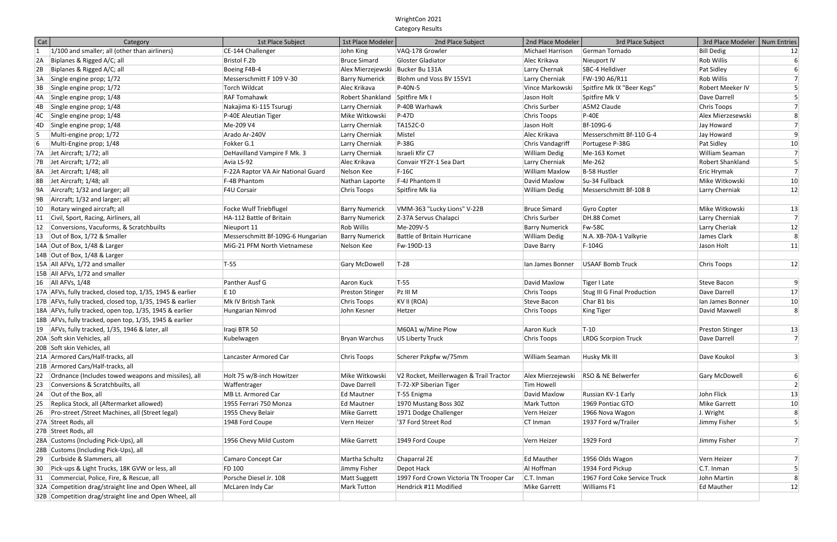## WrightCon 2021 Category Results

| $1/100$ and smaller; all (other than airliners)<br>CE-144 Challenger<br>VAQ-178 Growler<br>German Tornado<br>Bill Dedig<br>John King<br>Michael Harrison<br> 12 <br>Bristol F.2b<br>Bruce Simard<br>Rob Willis<br>$6 \mid$<br>Biplanes & Rigged A/C; all<br>Gloster Gladiator<br>Alec Krikava<br>Nieuport IV<br>Biplanes & Rigged A/C; all<br>Larry Chernak<br>SBC-4 Helldiver<br>$6 \mid$<br>Boeing F4B-4<br>Alex Mierzejewski Bucker Bu 131A<br>Pat Sidley<br>7<br>Single engine prop; 1/72<br>Messerschmitt F 109 V-30<br><b>Barry Numerick</b><br>Blohm und Voss BV 155V1<br>Larry Cherniak<br>FW-190 A6/R11<br><b>Rob Willis</b><br>5 <sup>2</sup><br>Torch Wildcat<br>Alec Krikava<br>$ P-40N-5 $<br>Spitfire Mk IX "Beer Kegs"<br>Single engine prop; 1/72<br>Vince Markowski<br><b>Robert Meeker IV</b><br>$\overline{5}$<br>Robert Shankland Spitfire Mk I<br><b>RAF Tomahawk</b><br>Jason Holt<br>Spitfire Mk V<br>Single engine prop; 1/48<br>Dave Darrell<br>$\overline{7}$<br>Larry Cherniak<br>P-40B Warhawk<br>Chris Surber<br>A5M2 Claude<br>Chris Toops<br>Single engine prop; 1/48<br>Nakajima Ki-115 Tsurugi<br>Alex Mierzesewski<br>8 <sup>2</sup><br>$ 4C $ Single engine prop; $1/48$<br>P-40E Aleutian Tiger<br>Mike Witkowski<br>$P-47D$<br>Chris Toops<br>$P-40E$<br>$\overline{7}$<br>Me-209 V4<br>TA152C-0<br>Bf-109G-6<br>Single engine prop; 1/48<br>Larry Cherniak<br>Jason Holt<br>Jay Howard<br>$\vert 9 \vert$<br>Multi-engine prop; 1/72<br>Arado Ar-240V<br>Larry Cherniak<br>Mistel<br>Alec Krikava<br>Messerschmitt Bf-110 G-4<br>Jay Howard<br>Multi-Engine prop; 1/48<br>Fokker G.1<br>Larry Cherniak<br>$P-38G$<br>Portugese P-38G<br>Pat Sidley<br>10<br>Chris Vandagriff<br>$\overline{7}$<br>Israeli Kfir C7<br>Me-163 Komet<br>Jet Aircraft; 1/72; all<br>DeHavilland Vampire F Mk. 3<br>Larry Cherniak<br><b>William Dedig</b><br>William Seaman<br>$\mathsf{5}$<br>Jet Aircraft; 1/72; all<br>Avia LS-92<br>Alec Krikava<br>Larry Cherniak<br>Me-262<br>Robert Shankland<br>Convair YF2Y-1 Sea Dart<br>$\overline{7}$<br>Jet Aircraft; 1/48; all<br>F-22A Raptor VA Air National Guard<br>Nelson Kee<br>$F-16C$<br>B-58 Hustler<br>William Maxlow<br>Eric Hrymak<br>Jet Aircraft; 1/48; all<br>F-4B Phantom<br>F-4J Phantom II<br>David Maxlow<br>Su-34 Fullback<br>Mike Witkowski<br>10<br>Nathan Laporte<br>Aircraft; 1/32 and larger; all<br><b>F4U Corsair</b><br>Messerschmitt Bf-108 B<br>Larry Cherniak<br>12<br>Chris Toops<br>Spitfire Mk lia<br>William Dedig<br>Aircraft; 1/32 and larger; all<br>$ 10 $ Rotary winged aircraft; all<br>Focke Wulf Triebflugel<br>VMM-363 "Lucky Lions" V-22B<br>Mike Witkowski<br><b>Barry Numerick</b><br>Bruce Simard<br>Gyro Copter<br> 13 <br>$\overline{7}$<br>Civil, Sport, Racing, Airliners, all<br>HA-112 Battle of Britain<br><b>Barry Numerick</b><br>Z-37A Servus Chalapci<br>Chris Surber<br>DH.88 Comet<br>Larry Cherniak<br>Rob Willis<br>12 Conversions, Vacuforms, & Scratchbuilts<br>Me-209V-5<br>Fw-58C<br>Larry Cheriak<br> 12 <br>Nieuport 11<br><b>Barry Numerick</b><br>8 <sup>°</sup><br>$ 13 $ Out of Box, 1/72 & Smaller<br>Messerschmitt Bf-109G-6 Hungarian<br><b>Barry Numerick</b><br><b>Battle of Britain Hurricane</b><br>William Dedig<br>N.A. XB-70A-1 Valkyrie<br>James Clark<br> 11 <br>14A Out of Box, 1/48 & Larger<br>MiG-21 PFM North Vietnamese<br>Nelson Kee<br>Fw-190D-13<br>$F-104G$<br>Jason Holt<br>Dave Barry<br>14B Out of Box, 1/48 & Larger<br> 12 <br>15A All AFVs, 1/72 and smaller<br>$T-28$<br>T-55<br>Gary McDowell<br>USAAF Bomb Truck<br>Chris Toops<br>lan James Bonner<br>15B All AFVs, 1/72 and smaller<br>$16$ All AFVs, $1/48$<br>Panther Ausf G<br>T-55<br>Aaron Kuck<br>David Maxlow<br>Tiger I Late<br><b>Steve Bacon</b><br>$\vert 9 \vert$<br>17<br>17A AFVs, fully tracked, closed top, 1/35, 1945 & earlier<br>E 10<br>Preston Stinger<br>Chris Toops<br>Stug III G Final Production<br>Dave Darrell<br>$ PZ $ III M<br>17B AFVs, fully tracked, closed top, 1/35, 1945 & earlier<br>Mk IV British Tank<br>Char B1 bis<br>10<br>Chris Toops<br>KV II (ROA)<br>Steve Bacon<br>Ian James Bonner<br>8 <sup>°</sup><br>18A AFVs, fully tracked, open top, 1/35, 1945 & earlier<br>David Maxwell<br>Hungarian Nimrod<br>John Kesner<br>Chris Toops<br>King Tiger<br>Hetzer<br>18B AFVs, fully tracked, open top, 1/35, 1945 & earlier<br>19 AFVs, fully tracked, 1/35, 1946 & later, all<br>M60A1 w/Mine Plow<br>Iraqi BTR 50<br>$T-10$<br> 13 <br>Aaron Kuck<br>Preston Stinger<br>$\overline{7}$<br>20A Soft skin Vehicles, all<br>Kubelwagen<br>Bryan Warchus<br>US Liberty Truck<br>Chris Toops<br><b>LRDG Scorpion Truck</b><br>Dave Darrell<br>20B Soft skin Vehicles, all<br>Scherer Pzkpfw w/75mm<br>21A Armored Cars/Half-tracks, all<br>Lancaster Armored Car<br>Husky Mk III<br>Dave Koukol<br>$\vert 3 \vert$<br>Chris Toops<br>William Seaman<br>21B   Armored Cars/Half-tracks, all<br>V2 Rocket, Meillerwagen & Trail Tractor<br>RSO & NE Belwerfer<br>22 Ordnance (Includes towed weapons and missiles), all<br>Holt 75 w/8-inch Howitzer<br>Mike Witkowski<br>Alex Mierzejewski<br>Gary McDowell<br>$6\vert$<br>Waffentrager<br>Conversions & Scratchbuilts, all<br>Tim Howell<br>$\vert$ 2<br>23<br>Dave Darrell<br>T-72-XP Siberian Tiger<br>David Maxlow<br>John Flick<br>Out of the Box, all<br>MB Lt. Armored Car<br>T-55 Enigma<br>Russian KV-1 Early<br>13<br>24<br>Ed Mautner<br>Replica Stock, all (Aftermarket allowed)<br>1970 Mustang Boss 30Z<br>1955 Ferrari 750 Monza<br>Mark Tutton<br>1969 Pontiac GTO<br>Mike Garrett<br>Ed Mautner<br>10 <sub>l</sub><br>26   Pro-street / Street Machines, all (Street legal)<br>1955 Chevy Belair<br>Mike Garrett<br>1971 Dodge Challenger<br>Vern Heizer<br>1966 Nova Wagon<br>J. Wright<br>8 <sup>2</sup><br>1948 Ford Coupe<br>'37 Ford Street Rod<br>1937 Ford w/Trailer<br>27A Street Rods, all<br>Vern Heizer<br>Jimmy Fisher<br>5 <sup>2</sup><br>CT Inman<br>27B Street Rods, all<br>7<br>28A Customs (Including Pick-Ups), all<br>1956 Chevy Mild Custom<br>1949 Ford Coupe<br>1929 Ford<br>Mike Garrett<br>Vern Heizer<br>Jimmy Fisher<br>28B Customs (Including Pick-Ups), all<br>29 Curbside & Slammers, all<br>1956 Olds Wagon<br>Camaro Concept Car<br>Martha Schultz<br>Chaparral 2E<br>Ed Mauther<br>Vern Heizer<br>$\vert$<br>Pick-ups & Light Trucks, 18K GVW or less, all<br>FD 100<br>Al Hoffman<br>1934 Ford Pickup<br>C.T. Inman<br>$\mathsf{5}$<br>30<br>Jimmy Fisher<br>Depot Hack<br>Commercial, Police, Fire, & Rescue, all<br>Porsche Diesel Jr. 108<br>1997 Ford Crown Victoria TN Trooper Car<br>1967 Ford Coke Service Truck<br>Matt Suggett<br>C.T. Inman<br>John Martin<br>8 <sup>2</sup><br>31<br>32A Competition drag/straight line and Open Wheel, all<br>McLaren Indy Car<br>Mark Tutton<br>Hendrick #11 Modified<br><b>Ed Mauther</b><br>Mike Garrett<br>Williams F1<br> 12 <br>32B Competition drag/straight line and Open Wheel, all | Cat          | Category | 1st Place Subject | 1st Place Modeler | 2nd Place Subject | 2nd Place Modeler | 3rd Place Subject | 3rd Place Modeler | Num Entries |
|-------------------------------------------------------------------------------------------------------------------------------------------------------------------------------------------------------------------------------------------------------------------------------------------------------------------------------------------------------------------------------------------------------------------------------------------------------------------------------------------------------------------------------------------------------------------------------------------------------------------------------------------------------------------------------------------------------------------------------------------------------------------------------------------------------------------------------------------------------------------------------------------------------------------------------------------------------------------------------------------------------------------------------------------------------------------------------------------------------------------------------------------------------------------------------------------------------------------------------------------------------------------------------------------------------------------------------------------------------------------------------------------------------------------------------------------------------------------------------------------------------------------------------------------------------------------------------------------------------------------------------------------------------------------------------------------------------------------------------------------------------------------------------------------------------------------------------------------------------------------------------------------------------------------------------------------------------------------------------------------------------------------------------------------------------------------------------------------------------------------------------------------------------------------------------------------------------------------------------------------------------------------------------------------------------------------------------------------------------------------------------------------------------------------------------------------------------------------------------------------------------------------------------------------------------------------------------------------------------------------------------------------------------------------------------------------------------------------------------------------------------------------------------------------------------------------------------------------------------------------------------------------------------------------------------------------------------------------------------------------------------------------------------------------------------------------------------------------------------------------------------------------------------------------------------------------------------------------------------------------------------------------------------------------------------------------------------------------------------------------------------------------------------------------------------------------------------------------------------------------------------------------------------------------------------------------------------------------------------------------------------------------------------------------------------------------------------------------------------------------------------------------------------------------------------------------------------------------------------------------------------------------------------------------------------------------------------------------------------------------------------------------------------------------------------------------------------------------------------------------------------------------------------------------------------------------------------------------------------------------------------------------------------------------------------------------------------------------------------------------------------------------------------------------------------------------------------------------------------------------------------------------------------------------------------------------------------------------------------------------------------------------------------------------------------------------------------------------------------------------------------------------------------------------------------------------------------------------------------------------------------------------------------------------------------------------------------------------------------------------------------------------------------------------------------------------------------------------------------------------------------------------------------------------------------------------------------------------------------------------------------------------------------------------------------------------------------------------------------------------------------------------------------------------------------------------------------------------------------------------------------------------------------------------------------------------------------------------------------------------------------------------------------------------------------------------------------------------------------------------------------------------------------------------------------------------------------------------------------------------------------------------------------------------------------------------------------------------------------------------------------------------------------------------------------------------------------------------------------------------------------------------------------------------------------------------------------------------------------------------------------------------------------------------------------------------------------------------------------------------------------------------------------------------------------------------------------------------------------------------------------------------------------------------------------------------------------------------------------------------------------------------------------------------------------------------------------------------------------------------------------------------------------------------------------------------------------------------------------------------------------------------------------------------------------------------------------------------------------------------------------------|--------------|----------|-------------------|-------------------|-------------------|-------------------|-------------------|-------------------|-------------|
|                                                                                                                                                                                                                                                                                                                                                                                                                                                                                                                                                                                                                                                                                                                                                                                                                                                                                                                                                                                                                                                                                                                                                                                                                                                                                                                                                                                                                                                                                                                                                                                                                                                                                                                                                                                                                                                                                                                                                                                                                                                                                                                                                                                                                                                                                                                                                                                                                                                                                                                                                                                                                                                                                                                                                                                                                                                                                                                                                                                                                                                                                                                                                                                                                                                                                                                                                                                                                                                                                                                                                                                                                                                                                                                                                                                                                                                                                                                                                                                                                                                                                                                                                                                                                                                                                                                                                                                                                                                                                                                                                                                                                                                                                                                                                                                                                                                                                                                                                                                                                                                                                                                                                                                                                                                                                                                                                                                                                                                                                                                                                                                                                                                                                                                                                                                                                                                                                                                                                                                                                                                                                                                                                                                                                                                                                                                                                                                                                                                                                                                                                                                                                                                                                                                                                                                                                                                                                                                                                                                                             | $ 1\rangle$  |          |                   |                   |                   |                   |                   |                   |             |
|                                                                                                                                                                                                                                                                                                                                                                                                                                                                                                                                                                                                                                                                                                                                                                                                                                                                                                                                                                                                                                                                                                                                                                                                                                                                                                                                                                                                                                                                                                                                                                                                                                                                                                                                                                                                                                                                                                                                                                                                                                                                                                                                                                                                                                                                                                                                                                                                                                                                                                                                                                                                                                                                                                                                                                                                                                                                                                                                                                                                                                                                                                                                                                                                                                                                                                                                                                                                                                                                                                                                                                                                                                                                                                                                                                                                                                                                                                                                                                                                                                                                                                                                                                                                                                                                                                                                                                                                                                                                                                                                                                                                                                                                                                                                                                                                                                                                                                                                                                                                                                                                                                                                                                                                                                                                                                                                                                                                                                                                                                                                                                                                                                                                                                                                                                                                                                                                                                                                                                                                                                                                                                                                                                                                                                                                                                                                                                                                                                                                                                                                                                                                                                                                                                                                                                                                                                                                                                                                                                                                             | 2A           |          |                   |                   |                   |                   |                   |                   |             |
|                                                                                                                                                                                                                                                                                                                                                                                                                                                                                                                                                                                                                                                                                                                                                                                                                                                                                                                                                                                                                                                                                                                                                                                                                                                                                                                                                                                                                                                                                                                                                                                                                                                                                                                                                                                                                                                                                                                                                                                                                                                                                                                                                                                                                                                                                                                                                                                                                                                                                                                                                                                                                                                                                                                                                                                                                                                                                                                                                                                                                                                                                                                                                                                                                                                                                                                                                                                                                                                                                                                                                                                                                                                                                                                                                                                                                                                                                                                                                                                                                                                                                                                                                                                                                                                                                                                                                                                                                                                                                                                                                                                                                                                                                                                                                                                                                                                                                                                                                                                                                                                                                                                                                                                                                                                                                                                                                                                                                                                                                                                                                                                                                                                                                                                                                                                                                                                                                                                                                                                                                                                                                                                                                                                                                                                                                                                                                                                                                                                                                                                                                                                                                                                                                                                                                                                                                                                                                                                                                                                                             | 2B           |          |                   |                   |                   |                   |                   |                   |             |
|                                                                                                                                                                                                                                                                                                                                                                                                                                                                                                                                                                                                                                                                                                                                                                                                                                                                                                                                                                                                                                                                                                                                                                                                                                                                                                                                                                                                                                                                                                                                                                                                                                                                                                                                                                                                                                                                                                                                                                                                                                                                                                                                                                                                                                                                                                                                                                                                                                                                                                                                                                                                                                                                                                                                                                                                                                                                                                                                                                                                                                                                                                                                                                                                                                                                                                                                                                                                                                                                                                                                                                                                                                                                                                                                                                                                                                                                                                                                                                                                                                                                                                                                                                                                                                                                                                                                                                                                                                                                                                                                                                                                                                                                                                                                                                                                                                                                                                                                                                                                                                                                                                                                                                                                                                                                                                                                                                                                                                                                                                                                                                                                                                                                                                                                                                                                                                                                                                                                                                                                                                                                                                                                                                                                                                                                                                                                                                                                                                                                                                                                                                                                                                                                                                                                                                                                                                                                                                                                                                                                             | 3A           |          |                   |                   |                   |                   |                   |                   |             |
|                                                                                                                                                                                                                                                                                                                                                                                                                                                                                                                                                                                                                                                                                                                                                                                                                                                                                                                                                                                                                                                                                                                                                                                                                                                                                                                                                                                                                                                                                                                                                                                                                                                                                                                                                                                                                                                                                                                                                                                                                                                                                                                                                                                                                                                                                                                                                                                                                                                                                                                                                                                                                                                                                                                                                                                                                                                                                                                                                                                                                                                                                                                                                                                                                                                                                                                                                                                                                                                                                                                                                                                                                                                                                                                                                                                                                                                                                                                                                                                                                                                                                                                                                                                                                                                                                                                                                                                                                                                                                                                                                                                                                                                                                                                                                                                                                                                                                                                                                                                                                                                                                                                                                                                                                                                                                                                                                                                                                                                                                                                                                                                                                                                                                                                                                                                                                                                                                                                                                                                                                                                                                                                                                                                                                                                                                                                                                                                                                                                                                                                                                                                                                                                                                                                                                                                                                                                                                                                                                                                                             | 3B           |          |                   |                   |                   |                   |                   |                   |             |
|                                                                                                                                                                                                                                                                                                                                                                                                                                                                                                                                                                                                                                                                                                                                                                                                                                                                                                                                                                                                                                                                                                                                                                                                                                                                                                                                                                                                                                                                                                                                                                                                                                                                                                                                                                                                                                                                                                                                                                                                                                                                                                                                                                                                                                                                                                                                                                                                                                                                                                                                                                                                                                                                                                                                                                                                                                                                                                                                                                                                                                                                                                                                                                                                                                                                                                                                                                                                                                                                                                                                                                                                                                                                                                                                                                                                                                                                                                                                                                                                                                                                                                                                                                                                                                                                                                                                                                                                                                                                                                                                                                                                                                                                                                                                                                                                                                                                                                                                                                                                                                                                                                                                                                                                                                                                                                                                                                                                                                                                                                                                                                                                                                                                                                                                                                                                                                                                                                                                                                                                                                                                                                                                                                                                                                                                                                                                                                                                                                                                                                                                                                                                                                                                                                                                                                                                                                                                                                                                                                                                             | 4A           |          |                   |                   |                   |                   |                   |                   |             |
|                                                                                                                                                                                                                                                                                                                                                                                                                                                                                                                                                                                                                                                                                                                                                                                                                                                                                                                                                                                                                                                                                                                                                                                                                                                                                                                                                                                                                                                                                                                                                                                                                                                                                                                                                                                                                                                                                                                                                                                                                                                                                                                                                                                                                                                                                                                                                                                                                                                                                                                                                                                                                                                                                                                                                                                                                                                                                                                                                                                                                                                                                                                                                                                                                                                                                                                                                                                                                                                                                                                                                                                                                                                                                                                                                                                                                                                                                                                                                                                                                                                                                                                                                                                                                                                                                                                                                                                                                                                                                                                                                                                                                                                                                                                                                                                                                                                                                                                                                                                                                                                                                                                                                                                                                                                                                                                                                                                                                                                                                                                                                                                                                                                                                                                                                                                                                                                                                                                                                                                                                                                                                                                                                                                                                                                                                                                                                                                                                                                                                                                                                                                                                                                                                                                                                                                                                                                                                                                                                                                                             | 4B           |          |                   |                   |                   |                   |                   |                   |             |
|                                                                                                                                                                                                                                                                                                                                                                                                                                                                                                                                                                                                                                                                                                                                                                                                                                                                                                                                                                                                                                                                                                                                                                                                                                                                                                                                                                                                                                                                                                                                                                                                                                                                                                                                                                                                                                                                                                                                                                                                                                                                                                                                                                                                                                                                                                                                                                                                                                                                                                                                                                                                                                                                                                                                                                                                                                                                                                                                                                                                                                                                                                                                                                                                                                                                                                                                                                                                                                                                                                                                                                                                                                                                                                                                                                                                                                                                                                                                                                                                                                                                                                                                                                                                                                                                                                                                                                                                                                                                                                                                                                                                                                                                                                                                                                                                                                                                                                                                                                                                                                                                                                                                                                                                                                                                                                                                                                                                                                                                                                                                                                                                                                                                                                                                                                                                                                                                                                                                                                                                                                                                                                                                                                                                                                                                                                                                                                                                                                                                                                                                                                                                                                                                                                                                                                                                                                                                                                                                                                                                             |              |          |                   |                   |                   |                   |                   |                   |             |
|                                                                                                                                                                                                                                                                                                                                                                                                                                                                                                                                                                                                                                                                                                                                                                                                                                                                                                                                                                                                                                                                                                                                                                                                                                                                                                                                                                                                                                                                                                                                                                                                                                                                                                                                                                                                                                                                                                                                                                                                                                                                                                                                                                                                                                                                                                                                                                                                                                                                                                                                                                                                                                                                                                                                                                                                                                                                                                                                                                                                                                                                                                                                                                                                                                                                                                                                                                                                                                                                                                                                                                                                                                                                                                                                                                                                                                                                                                                                                                                                                                                                                                                                                                                                                                                                                                                                                                                                                                                                                                                                                                                                                                                                                                                                                                                                                                                                                                                                                                                                                                                                                                                                                                                                                                                                                                                                                                                                                                                                                                                                                                                                                                                                                                                                                                                                                                                                                                                                                                                                                                                                                                                                                                                                                                                                                                                                                                                                                                                                                                                                                                                                                                                                                                                                                                                                                                                                                                                                                                                                             | 4D           |          |                   |                   |                   |                   |                   |                   |             |
|                                                                                                                                                                                                                                                                                                                                                                                                                                                                                                                                                                                                                                                                                                                                                                                                                                                                                                                                                                                                                                                                                                                                                                                                                                                                                                                                                                                                                                                                                                                                                                                                                                                                                                                                                                                                                                                                                                                                                                                                                                                                                                                                                                                                                                                                                                                                                                                                                                                                                                                                                                                                                                                                                                                                                                                                                                                                                                                                                                                                                                                                                                                                                                                                                                                                                                                                                                                                                                                                                                                                                                                                                                                                                                                                                                                                                                                                                                                                                                                                                                                                                                                                                                                                                                                                                                                                                                                                                                                                                                                                                                                                                                                                                                                                                                                                                                                                                                                                                                                                                                                                                                                                                                                                                                                                                                                                                                                                                                                                                                                                                                                                                                                                                                                                                                                                                                                                                                                                                                                                                                                                                                                                                                                                                                                                                                                                                                                                                                                                                                                                                                                                                                                                                                                                                                                                                                                                                                                                                                                                             |              |          |                   |                   |                   |                   |                   |                   |             |
|                                                                                                                                                                                                                                                                                                                                                                                                                                                                                                                                                                                                                                                                                                                                                                                                                                                                                                                                                                                                                                                                                                                                                                                                                                                                                                                                                                                                                                                                                                                                                                                                                                                                                                                                                                                                                                                                                                                                                                                                                                                                                                                                                                                                                                                                                                                                                                                                                                                                                                                                                                                                                                                                                                                                                                                                                                                                                                                                                                                                                                                                                                                                                                                                                                                                                                                                                                                                                                                                                                                                                                                                                                                                                                                                                                                                                                                                                                                                                                                                                                                                                                                                                                                                                                                                                                                                                                                                                                                                                                                                                                                                                                                                                                                                                                                                                                                                                                                                                                                                                                                                                                                                                                                                                                                                                                                                                                                                                                                                                                                                                                                                                                                                                                                                                                                                                                                                                                                                                                                                                                                                                                                                                                                                                                                                                                                                                                                                                                                                                                                                                                                                                                                                                                                                                                                                                                                                                                                                                                                                             | 6            |          |                   |                   |                   |                   |                   |                   |             |
|                                                                                                                                                                                                                                                                                                                                                                                                                                                                                                                                                                                                                                                                                                                                                                                                                                                                                                                                                                                                                                                                                                                                                                                                                                                                                                                                                                                                                                                                                                                                                                                                                                                                                                                                                                                                                                                                                                                                                                                                                                                                                                                                                                                                                                                                                                                                                                                                                                                                                                                                                                                                                                                                                                                                                                                                                                                                                                                                                                                                                                                                                                                                                                                                                                                                                                                                                                                                                                                                                                                                                                                                                                                                                                                                                                                                                                                                                                                                                                                                                                                                                                                                                                                                                                                                                                                                                                                                                                                                                                                                                                                                                                                                                                                                                                                                                                                                                                                                                                                                                                                                                                                                                                                                                                                                                                                                                                                                                                                                                                                                                                                                                                                                                                                                                                                                                                                                                                                                                                                                                                                                                                                                                                                                                                                                                                                                                                                                                                                                                                                                                                                                                                                                                                                                                                                                                                                                                                                                                                                                             | 7A           |          |                   |                   |                   |                   |                   |                   |             |
|                                                                                                                                                                                                                                                                                                                                                                                                                                                                                                                                                                                                                                                                                                                                                                                                                                                                                                                                                                                                                                                                                                                                                                                                                                                                                                                                                                                                                                                                                                                                                                                                                                                                                                                                                                                                                                                                                                                                                                                                                                                                                                                                                                                                                                                                                                                                                                                                                                                                                                                                                                                                                                                                                                                                                                                                                                                                                                                                                                                                                                                                                                                                                                                                                                                                                                                                                                                                                                                                                                                                                                                                                                                                                                                                                                                                                                                                                                                                                                                                                                                                                                                                                                                                                                                                                                                                                                                                                                                                                                                                                                                                                                                                                                                                                                                                                                                                                                                                                                                                                                                                                                                                                                                                                                                                                                                                                                                                                                                                                                                                                                                                                                                                                                                                                                                                                                                                                                                                                                                                                                                                                                                                                                                                                                                                                                                                                                                                                                                                                                                                                                                                                                                                                                                                                                                                                                                                                                                                                                                                             | 7B           |          |                   |                   |                   |                   |                   |                   |             |
|                                                                                                                                                                                                                                                                                                                                                                                                                                                                                                                                                                                                                                                                                                                                                                                                                                                                                                                                                                                                                                                                                                                                                                                                                                                                                                                                                                                                                                                                                                                                                                                                                                                                                                                                                                                                                                                                                                                                                                                                                                                                                                                                                                                                                                                                                                                                                                                                                                                                                                                                                                                                                                                                                                                                                                                                                                                                                                                                                                                                                                                                                                                                                                                                                                                                                                                                                                                                                                                                                                                                                                                                                                                                                                                                                                                                                                                                                                                                                                                                                                                                                                                                                                                                                                                                                                                                                                                                                                                                                                                                                                                                                                                                                                                                                                                                                                                                                                                                                                                                                                                                                                                                                                                                                                                                                                                                                                                                                                                                                                                                                                                                                                                                                                                                                                                                                                                                                                                                                                                                                                                                                                                                                                                                                                                                                                                                                                                                                                                                                                                                                                                                                                                                                                                                                                                                                                                                                                                                                                                                             | 8A           |          |                   |                   |                   |                   |                   |                   |             |
|                                                                                                                                                                                                                                                                                                                                                                                                                                                                                                                                                                                                                                                                                                                                                                                                                                                                                                                                                                                                                                                                                                                                                                                                                                                                                                                                                                                                                                                                                                                                                                                                                                                                                                                                                                                                                                                                                                                                                                                                                                                                                                                                                                                                                                                                                                                                                                                                                                                                                                                                                                                                                                                                                                                                                                                                                                                                                                                                                                                                                                                                                                                                                                                                                                                                                                                                                                                                                                                                                                                                                                                                                                                                                                                                                                                                                                                                                                                                                                                                                                                                                                                                                                                                                                                                                                                                                                                                                                                                                                                                                                                                                                                                                                                                                                                                                                                                                                                                                                                                                                                                                                                                                                                                                                                                                                                                                                                                                                                                                                                                                                                                                                                                                                                                                                                                                                                                                                                                                                                                                                                                                                                                                                                                                                                                                                                                                                                                                                                                                                                                                                                                                                                                                                                                                                                                                                                                                                                                                                                                             | 8B           |          |                   |                   |                   |                   |                   |                   |             |
|                                                                                                                                                                                                                                                                                                                                                                                                                                                                                                                                                                                                                                                                                                                                                                                                                                                                                                                                                                                                                                                                                                                                                                                                                                                                                                                                                                                                                                                                                                                                                                                                                                                                                                                                                                                                                                                                                                                                                                                                                                                                                                                                                                                                                                                                                                                                                                                                                                                                                                                                                                                                                                                                                                                                                                                                                                                                                                                                                                                                                                                                                                                                                                                                                                                                                                                                                                                                                                                                                                                                                                                                                                                                                                                                                                                                                                                                                                                                                                                                                                                                                                                                                                                                                                                                                                                                                                                                                                                                                                                                                                                                                                                                                                                                                                                                                                                                                                                                                                                                                                                                                                                                                                                                                                                                                                                                                                                                                                                                                                                                                                                                                                                                                                                                                                                                                                                                                                                                                                                                                                                                                                                                                                                                                                                                                                                                                                                                                                                                                                                                                                                                                                                                                                                                                                                                                                                                                                                                                                                                             | 9A           |          |                   |                   |                   |                   |                   |                   |             |
|                                                                                                                                                                                                                                                                                                                                                                                                                                                                                                                                                                                                                                                                                                                                                                                                                                                                                                                                                                                                                                                                                                                                                                                                                                                                                                                                                                                                                                                                                                                                                                                                                                                                                                                                                                                                                                                                                                                                                                                                                                                                                                                                                                                                                                                                                                                                                                                                                                                                                                                                                                                                                                                                                                                                                                                                                                                                                                                                                                                                                                                                                                                                                                                                                                                                                                                                                                                                                                                                                                                                                                                                                                                                                                                                                                                                                                                                                                                                                                                                                                                                                                                                                                                                                                                                                                                                                                                                                                                                                                                                                                                                                                                                                                                                                                                                                                                                                                                                                                                                                                                                                                                                                                                                                                                                                                                                                                                                                                                                                                                                                                                                                                                                                                                                                                                                                                                                                                                                                                                                                                                                                                                                                                                                                                                                                                                                                                                                                                                                                                                                                                                                                                                                                                                                                                                                                                                                                                                                                                                                             | 9B           |          |                   |                   |                   |                   |                   |                   |             |
|                                                                                                                                                                                                                                                                                                                                                                                                                                                                                                                                                                                                                                                                                                                                                                                                                                                                                                                                                                                                                                                                                                                                                                                                                                                                                                                                                                                                                                                                                                                                                                                                                                                                                                                                                                                                                                                                                                                                                                                                                                                                                                                                                                                                                                                                                                                                                                                                                                                                                                                                                                                                                                                                                                                                                                                                                                                                                                                                                                                                                                                                                                                                                                                                                                                                                                                                                                                                                                                                                                                                                                                                                                                                                                                                                                                                                                                                                                                                                                                                                                                                                                                                                                                                                                                                                                                                                                                                                                                                                                                                                                                                                                                                                                                                                                                                                                                                                                                                                                                                                                                                                                                                                                                                                                                                                                                                                                                                                                                                                                                                                                                                                                                                                                                                                                                                                                                                                                                                                                                                                                                                                                                                                                                                                                                                                                                                                                                                                                                                                                                                                                                                                                                                                                                                                                                                                                                                                                                                                                                                             |              |          |                   |                   |                   |                   |                   |                   |             |
|                                                                                                                                                                                                                                                                                                                                                                                                                                                                                                                                                                                                                                                                                                                                                                                                                                                                                                                                                                                                                                                                                                                                                                                                                                                                                                                                                                                                                                                                                                                                                                                                                                                                                                                                                                                                                                                                                                                                                                                                                                                                                                                                                                                                                                                                                                                                                                                                                                                                                                                                                                                                                                                                                                                                                                                                                                                                                                                                                                                                                                                                                                                                                                                                                                                                                                                                                                                                                                                                                                                                                                                                                                                                                                                                                                                                                                                                                                                                                                                                                                                                                                                                                                                                                                                                                                                                                                                                                                                                                                                                                                                                                                                                                                                                                                                                                                                                                                                                                                                                                                                                                                                                                                                                                                                                                                                                                                                                                                                                                                                                                                                                                                                                                                                                                                                                                                                                                                                                                                                                                                                                                                                                                                                                                                                                                                                                                                                                                                                                                                                                                                                                                                                                                                                                                                                                                                                                                                                                                                                                             | $ 11\rangle$ |          |                   |                   |                   |                   |                   |                   |             |
|                                                                                                                                                                                                                                                                                                                                                                                                                                                                                                                                                                                                                                                                                                                                                                                                                                                                                                                                                                                                                                                                                                                                                                                                                                                                                                                                                                                                                                                                                                                                                                                                                                                                                                                                                                                                                                                                                                                                                                                                                                                                                                                                                                                                                                                                                                                                                                                                                                                                                                                                                                                                                                                                                                                                                                                                                                                                                                                                                                                                                                                                                                                                                                                                                                                                                                                                                                                                                                                                                                                                                                                                                                                                                                                                                                                                                                                                                                                                                                                                                                                                                                                                                                                                                                                                                                                                                                                                                                                                                                                                                                                                                                                                                                                                                                                                                                                                                                                                                                                                                                                                                                                                                                                                                                                                                                                                                                                                                                                                                                                                                                                                                                                                                                                                                                                                                                                                                                                                                                                                                                                                                                                                                                                                                                                                                                                                                                                                                                                                                                                                                                                                                                                                                                                                                                                                                                                                                                                                                                                                             |              |          |                   |                   |                   |                   |                   |                   |             |
|                                                                                                                                                                                                                                                                                                                                                                                                                                                                                                                                                                                                                                                                                                                                                                                                                                                                                                                                                                                                                                                                                                                                                                                                                                                                                                                                                                                                                                                                                                                                                                                                                                                                                                                                                                                                                                                                                                                                                                                                                                                                                                                                                                                                                                                                                                                                                                                                                                                                                                                                                                                                                                                                                                                                                                                                                                                                                                                                                                                                                                                                                                                                                                                                                                                                                                                                                                                                                                                                                                                                                                                                                                                                                                                                                                                                                                                                                                                                                                                                                                                                                                                                                                                                                                                                                                                                                                                                                                                                                                                                                                                                                                                                                                                                                                                                                                                                                                                                                                                                                                                                                                                                                                                                                                                                                                                                                                                                                                                                                                                                                                                                                                                                                                                                                                                                                                                                                                                                                                                                                                                                                                                                                                                                                                                                                                                                                                                                                                                                                                                                                                                                                                                                                                                                                                                                                                                                                                                                                                                                             |              |          |                   |                   |                   |                   |                   |                   |             |
|                                                                                                                                                                                                                                                                                                                                                                                                                                                                                                                                                                                                                                                                                                                                                                                                                                                                                                                                                                                                                                                                                                                                                                                                                                                                                                                                                                                                                                                                                                                                                                                                                                                                                                                                                                                                                                                                                                                                                                                                                                                                                                                                                                                                                                                                                                                                                                                                                                                                                                                                                                                                                                                                                                                                                                                                                                                                                                                                                                                                                                                                                                                                                                                                                                                                                                                                                                                                                                                                                                                                                                                                                                                                                                                                                                                                                                                                                                                                                                                                                                                                                                                                                                                                                                                                                                                                                                                                                                                                                                                                                                                                                                                                                                                                                                                                                                                                                                                                                                                                                                                                                                                                                                                                                                                                                                                                                                                                                                                                                                                                                                                                                                                                                                                                                                                                                                                                                                                                                                                                                                                                                                                                                                                                                                                                                                                                                                                                                                                                                                                                                                                                                                                                                                                                                                                                                                                                                                                                                                                                             |              |          |                   |                   |                   |                   |                   |                   |             |
|                                                                                                                                                                                                                                                                                                                                                                                                                                                                                                                                                                                                                                                                                                                                                                                                                                                                                                                                                                                                                                                                                                                                                                                                                                                                                                                                                                                                                                                                                                                                                                                                                                                                                                                                                                                                                                                                                                                                                                                                                                                                                                                                                                                                                                                                                                                                                                                                                                                                                                                                                                                                                                                                                                                                                                                                                                                                                                                                                                                                                                                                                                                                                                                                                                                                                                                                                                                                                                                                                                                                                                                                                                                                                                                                                                                                                                                                                                                                                                                                                                                                                                                                                                                                                                                                                                                                                                                                                                                                                                                                                                                                                                                                                                                                                                                                                                                                                                                                                                                                                                                                                                                                                                                                                                                                                                                                                                                                                                                                                                                                                                                                                                                                                                                                                                                                                                                                                                                                                                                                                                                                                                                                                                                                                                                                                                                                                                                                                                                                                                                                                                                                                                                                                                                                                                                                                                                                                                                                                                                                             |              |          |                   |                   |                   |                   |                   |                   |             |
|                                                                                                                                                                                                                                                                                                                                                                                                                                                                                                                                                                                                                                                                                                                                                                                                                                                                                                                                                                                                                                                                                                                                                                                                                                                                                                                                                                                                                                                                                                                                                                                                                                                                                                                                                                                                                                                                                                                                                                                                                                                                                                                                                                                                                                                                                                                                                                                                                                                                                                                                                                                                                                                                                                                                                                                                                                                                                                                                                                                                                                                                                                                                                                                                                                                                                                                                                                                                                                                                                                                                                                                                                                                                                                                                                                                                                                                                                                                                                                                                                                                                                                                                                                                                                                                                                                                                                                                                                                                                                                                                                                                                                                                                                                                                                                                                                                                                                                                                                                                                                                                                                                                                                                                                                                                                                                                                                                                                                                                                                                                                                                                                                                                                                                                                                                                                                                                                                                                                                                                                                                                                                                                                                                                                                                                                                                                                                                                                                                                                                                                                                                                                                                                                                                                                                                                                                                                                                                                                                                                                             |              |          |                   |                   |                   |                   |                   |                   |             |
|                                                                                                                                                                                                                                                                                                                                                                                                                                                                                                                                                                                                                                                                                                                                                                                                                                                                                                                                                                                                                                                                                                                                                                                                                                                                                                                                                                                                                                                                                                                                                                                                                                                                                                                                                                                                                                                                                                                                                                                                                                                                                                                                                                                                                                                                                                                                                                                                                                                                                                                                                                                                                                                                                                                                                                                                                                                                                                                                                                                                                                                                                                                                                                                                                                                                                                                                                                                                                                                                                                                                                                                                                                                                                                                                                                                                                                                                                                                                                                                                                                                                                                                                                                                                                                                                                                                                                                                                                                                                                                                                                                                                                                                                                                                                                                                                                                                                                                                                                                                                                                                                                                                                                                                                                                                                                                                                                                                                                                                                                                                                                                                                                                                                                                                                                                                                                                                                                                                                                                                                                                                                                                                                                                                                                                                                                                                                                                                                                                                                                                                                                                                                                                                                                                                                                                                                                                                                                                                                                                                                             |              |          |                   |                   |                   |                   |                   |                   |             |
|                                                                                                                                                                                                                                                                                                                                                                                                                                                                                                                                                                                                                                                                                                                                                                                                                                                                                                                                                                                                                                                                                                                                                                                                                                                                                                                                                                                                                                                                                                                                                                                                                                                                                                                                                                                                                                                                                                                                                                                                                                                                                                                                                                                                                                                                                                                                                                                                                                                                                                                                                                                                                                                                                                                                                                                                                                                                                                                                                                                                                                                                                                                                                                                                                                                                                                                                                                                                                                                                                                                                                                                                                                                                                                                                                                                                                                                                                                                                                                                                                                                                                                                                                                                                                                                                                                                                                                                                                                                                                                                                                                                                                                                                                                                                                                                                                                                                                                                                                                                                                                                                                                                                                                                                                                                                                                                                                                                                                                                                                                                                                                                                                                                                                                                                                                                                                                                                                                                                                                                                                                                                                                                                                                                                                                                                                                                                                                                                                                                                                                                                                                                                                                                                                                                                                                                                                                                                                                                                                                                                             |              |          |                   |                   |                   |                   |                   |                   |             |
|                                                                                                                                                                                                                                                                                                                                                                                                                                                                                                                                                                                                                                                                                                                                                                                                                                                                                                                                                                                                                                                                                                                                                                                                                                                                                                                                                                                                                                                                                                                                                                                                                                                                                                                                                                                                                                                                                                                                                                                                                                                                                                                                                                                                                                                                                                                                                                                                                                                                                                                                                                                                                                                                                                                                                                                                                                                                                                                                                                                                                                                                                                                                                                                                                                                                                                                                                                                                                                                                                                                                                                                                                                                                                                                                                                                                                                                                                                                                                                                                                                                                                                                                                                                                                                                                                                                                                                                                                                                                                                                                                                                                                                                                                                                                                                                                                                                                                                                                                                                                                                                                                                                                                                                                                                                                                                                                                                                                                                                                                                                                                                                                                                                                                                                                                                                                                                                                                                                                                                                                                                                                                                                                                                                                                                                                                                                                                                                                                                                                                                                                                                                                                                                                                                                                                                                                                                                                                                                                                                                                             |              |          |                   |                   |                   |                   |                   |                   |             |
|                                                                                                                                                                                                                                                                                                                                                                                                                                                                                                                                                                                                                                                                                                                                                                                                                                                                                                                                                                                                                                                                                                                                                                                                                                                                                                                                                                                                                                                                                                                                                                                                                                                                                                                                                                                                                                                                                                                                                                                                                                                                                                                                                                                                                                                                                                                                                                                                                                                                                                                                                                                                                                                                                                                                                                                                                                                                                                                                                                                                                                                                                                                                                                                                                                                                                                                                                                                                                                                                                                                                                                                                                                                                                                                                                                                                                                                                                                                                                                                                                                                                                                                                                                                                                                                                                                                                                                                                                                                                                                                                                                                                                                                                                                                                                                                                                                                                                                                                                                                                                                                                                                                                                                                                                                                                                                                                                                                                                                                                                                                                                                                                                                                                                                                                                                                                                                                                                                                                                                                                                                                                                                                                                                                                                                                                                                                                                                                                                                                                                                                                                                                                                                                                                                                                                                                                                                                                                                                                                                                                             |              |          |                   |                   |                   |                   |                   |                   |             |
|                                                                                                                                                                                                                                                                                                                                                                                                                                                                                                                                                                                                                                                                                                                                                                                                                                                                                                                                                                                                                                                                                                                                                                                                                                                                                                                                                                                                                                                                                                                                                                                                                                                                                                                                                                                                                                                                                                                                                                                                                                                                                                                                                                                                                                                                                                                                                                                                                                                                                                                                                                                                                                                                                                                                                                                                                                                                                                                                                                                                                                                                                                                                                                                                                                                                                                                                                                                                                                                                                                                                                                                                                                                                                                                                                                                                                                                                                                                                                                                                                                                                                                                                                                                                                                                                                                                                                                                                                                                                                                                                                                                                                                                                                                                                                                                                                                                                                                                                                                                                                                                                                                                                                                                                                                                                                                                                                                                                                                                                                                                                                                                                                                                                                                                                                                                                                                                                                                                                                                                                                                                                                                                                                                                                                                                                                                                                                                                                                                                                                                                                                                                                                                                                                                                                                                                                                                                                                                                                                                                                             |              |          |                   |                   |                   |                   |                   |                   |             |
|                                                                                                                                                                                                                                                                                                                                                                                                                                                                                                                                                                                                                                                                                                                                                                                                                                                                                                                                                                                                                                                                                                                                                                                                                                                                                                                                                                                                                                                                                                                                                                                                                                                                                                                                                                                                                                                                                                                                                                                                                                                                                                                                                                                                                                                                                                                                                                                                                                                                                                                                                                                                                                                                                                                                                                                                                                                                                                                                                                                                                                                                                                                                                                                                                                                                                                                                                                                                                                                                                                                                                                                                                                                                                                                                                                                                                                                                                                                                                                                                                                                                                                                                                                                                                                                                                                                                                                                                                                                                                                                                                                                                                                                                                                                                                                                                                                                                                                                                                                                                                                                                                                                                                                                                                                                                                                                                                                                                                                                                                                                                                                                                                                                                                                                                                                                                                                                                                                                                                                                                                                                                                                                                                                                                                                                                                                                                                                                                                                                                                                                                                                                                                                                                                                                                                                                                                                                                                                                                                                                                             |              |          |                   |                   |                   |                   |                   |                   |             |
|                                                                                                                                                                                                                                                                                                                                                                                                                                                                                                                                                                                                                                                                                                                                                                                                                                                                                                                                                                                                                                                                                                                                                                                                                                                                                                                                                                                                                                                                                                                                                                                                                                                                                                                                                                                                                                                                                                                                                                                                                                                                                                                                                                                                                                                                                                                                                                                                                                                                                                                                                                                                                                                                                                                                                                                                                                                                                                                                                                                                                                                                                                                                                                                                                                                                                                                                                                                                                                                                                                                                                                                                                                                                                                                                                                                                                                                                                                                                                                                                                                                                                                                                                                                                                                                                                                                                                                                                                                                                                                                                                                                                                                                                                                                                                                                                                                                                                                                                                                                                                                                                                                                                                                                                                                                                                                                                                                                                                                                                                                                                                                                                                                                                                                                                                                                                                                                                                                                                                                                                                                                                                                                                                                                                                                                                                                                                                                                                                                                                                                                                                                                                                                                                                                                                                                                                                                                                                                                                                                                                             |              |          |                   |                   |                   |                   |                   |                   |             |
|                                                                                                                                                                                                                                                                                                                                                                                                                                                                                                                                                                                                                                                                                                                                                                                                                                                                                                                                                                                                                                                                                                                                                                                                                                                                                                                                                                                                                                                                                                                                                                                                                                                                                                                                                                                                                                                                                                                                                                                                                                                                                                                                                                                                                                                                                                                                                                                                                                                                                                                                                                                                                                                                                                                                                                                                                                                                                                                                                                                                                                                                                                                                                                                                                                                                                                                                                                                                                                                                                                                                                                                                                                                                                                                                                                                                                                                                                                                                                                                                                                                                                                                                                                                                                                                                                                                                                                                                                                                                                                                                                                                                                                                                                                                                                                                                                                                                                                                                                                                                                                                                                                                                                                                                                                                                                                                                                                                                                                                                                                                                                                                                                                                                                                                                                                                                                                                                                                                                                                                                                                                                                                                                                                                                                                                                                                                                                                                                                                                                                                                                                                                                                                                                                                                                                                                                                                                                                                                                                                                                             |              |          |                   |                   |                   |                   |                   |                   |             |
|                                                                                                                                                                                                                                                                                                                                                                                                                                                                                                                                                                                                                                                                                                                                                                                                                                                                                                                                                                                                                                                                                                                                                                                                                                                                                                                                                                                                                                                                                                                                                                                                                                                                                                                                                                                                                                                                                                                                                                                                                                                                                                                                                                                                                                                                                                                                                                                                                                                                                                                                                                                                                                                                                                                                                                                                                                                                                                                                                                                                                                                                                                                                                                                                                                                                                                                                                                                                                                                                                                                                                                                                                                                                                                                                                                                                                                                                                                                                                                                                                                                                                                                                                                                                                                                                                                                                                                                                                                                                                                                                                                                                                                                                                                                                                                                                                                                                                                                                                                                                                                                                                                                                                                                                                                                                                                                                                                                                                                                                                                                                                                                                                                                                                                                                                                                                                                                                                                                                                                                                                                                                                                                                                                                                                                                                                                                                                                                                                                                                                                                                                                                                                                                                                                                                                                                                                                                                                                                                                                                                             |              |          |                   |                   |                   |                   |                   |                   |             |
|                                                                                                                                                                                                                                                                                                                                                                                                                                                                                                                                                                                                                                                                                                                                                                                                                                                                                                                                                                                                                                                                                                                                                                                                                                                                                                                                                                                                                                                                                                                                                                                                                                                                                                                                                                                                                                                                                                                                                                                                                                                                                                                                                                                                                                                                                                                                                                                                                                                                                                                                                                                                                                                                                                                                                                                                                                                                                                                                                                                                                                                                                                                                                                                                                                                                                                                                                                                                                                                                                                                                                                                                                                                                                                                                                                                                                                                                                                                                                                                                                                                                                                                                                                                                                                                                                                                                                                                                                                                                                                                                                                                                                                                                                                                                                                                                                                                                                                                                                                                                                                                                                                                                                                                                                                                                                                                                                                                                                                                                                                                                                                                                                                                                                                                                                                                                                                                                                                                                                                                                                                                                                                                                                                                                                                                                                                                                                                                                                                                                                                                                                                                                                                                                                                                                                                                                                                                                                                                                                                                                             |              |          |                   |                   |                   |                   |                   |                   |             |
|                                                                                                                                                                                                                                                                                                                                                                                                                                                                                                                                                                                                                                                                                                                                                                                                                                                                                                                                                                                                                                                                                                                                                                                                                                                                                                                                                                                                                                                                                                                                                                                                                                                                                                                                                                                                                                                                                                                                                                                                                                                                                                                                                                                                                                                                                                                                                                                                                                                                                                                                                                                                                                                                                                                                                                                                                                                                                                                                                                                                                                                                                                                                                                                                                                                                                                                                                                                                                                                                                                                                                                                                                                                                                                                                                                                                                                                                                                                                                                                                                                                                                                                                                                                                                                                                                                                                                                                                                                                                                                                                                                                                                                                                                                                                                                                                                                                                                                                                                                                                                                                                                                                                                                                                                                                                                                                                                                                                                                                                                                                                                                                                                                                                                                                                                                                                                                                                                                                                                                                                                                                                                                                                                                                                                                                                                                                                                                                                                                                                                                                                                                                                                                                                                                                                                                                                                                                                                                                                                                                                             |              |          |                   |                   |                   |                   |                   |                   |             |
|                                                                                                                                                                                                                                                                                                                                                                                                                                                                                                                                                                                                                                                                                                                                                                                                                                                                                                                                                                                                                                                                                                                                                                                                                                                                                                                                                                                                                                                                                                                                                                                                                                                                                                                                                                                                                                                                                                                                                                                                                                                                                                                                                                                                                                                                                                                                                                                                                                                                                                                                                                                                                                                                                                                                                                                                                                                                                                                                                                                                                                                                                                                                                                                                                                                                                                                                                                                                                                                                                                                                                                                                                                                                                                                                                                                                                                                                                                                                                                                                                                                                                                                                                                                                                                                                                                                                                                                                                                                                                                                                                                                                                                                                                                                                                                                                                                                                                                                                                                                                                                                                                                                                                                                                                                                                                                                                                                                                                                                                                                                                                                                                                                                                                                                                                                                                                                                                                                                                                                                                                                                                                                                                                                                                                                                                                                                                                                                                                                                                                                                                                                                                                                                                                                                                                                                                                                                                                                                                                                                                             |              |          |                   |                   |                   |                   |                   |                   |             |
|                                                                                                                                                                                                                                                                                                                                                                                                                                                                                                                                                                                                                                                                                                                                                                                                                                                                                                                                                                                                                                                                                                                                                                                                                                                                                                                                                                                                                                                                                                                                                                                                                                                                                                                                                                                                                                                                                                                                                                                                                                                                                                                                                                                                                                                                                                                                                                                                                                                                                                                                                                                                                                                                                                                                                                                                                                                                                                                                                                                                                                                                                                                                                                                                                                                                                                                                                                                                                                                                                                                                                                                                                                                                                                                                                                                                                                                                                                                                                                                                                                                                                                                                                                                                                                                                                                                                                                                                                                                                                                                                                                                                                                                                                                                                                                                                                                                                                                                                                                                                                                                                                                                                                                                                                                                                                                                                                                                                                                                                                                                                                                                                                                                                                                                                                                                                                                                                                                                                                                                                                                                                                                                                                                                                                                                                                                                                                                                                                                                                                                                                                                                                                                                                                                                                                                                                                                                                                                                                                                                                             |              |          |                   |                   |                   |                   |                   |                   |             |
|                                                                                                                                                                                                                                                                                                                                                                                                                                                                                                                                                                                                                                                                                                                                                                                                                                                                                                                                                                                                                                                                                                                                                                                                                                                                                                                                                                                                                                                                                                                                                                                                                                                                                                                                                                                                                                                                                                                                                                                                                                                                                                                                                                                                                                                                                                                                                                                                                                                                                                                                                                                                                                                                                                                                                                                                                                                                                                                                                                                                                                                                                                                                                                                                                                                                                                                                                                                                                                                                                                                                                                                                                                                                                                                                                                                                                                                                                                                                                                                                                                                                                                                                                                                                                                                                                                                                                                                                                                                                                                                                                                                                                                                                                                                                                                                                                                                                                                                                                                                                                                                                                                                                                                                                                                                                                                                                                                                                                                                                                                                                                                                                                                                                                                                                                                                                                                                                                                                                                                                                                                                                                                                                                                                                                                                                                                                                                                                                                                                                                                                                                                                                                                                                                                                                                                                                                                                                                                                                                                                                             |              |          |                   |                   |                   |                   |                   |                   |             |
|                                                                                                                                                                                                                                                                                                                                                                                                                                                                                                                                                                                                                                                                                                                                                                                                                                                                                                                                                                                                                                                                                                                                                                                                                                                                                                                                                                                                                                                                                                                                                                                                                                                                                                                                                                                                                                                                                                                                                                                                                                                                                                                                                                                                                                                                                                                                                                                                                                                                                                                                                                                                                                                                                                                                                                                                                                                                                                                                                                                                                                                                                                                                                                                                                                                                                                                                                                                                                                                                                                                                                                                                                                                                                                                                                                                                                                                                                                                                                                                                                                                                                                                                                                                                                                                                                                                                                                                                                                                                                                                                                                                                                                                                                                                                                                                                                                                                                                                                                                                                                                                                                                                                                                                                                                                                                                                                                                                                                                                                                                                                                                                                                                                                                                                                                                                                                                                                                                                                                                                                                                                                                                                                                                                                                                                                                                                                                                                                                                                                                                                                                                                                                                                                                                                                                                                                                                                                                                                                                                                                             | 25           |          |                   |                   |                   |                   |                   |                   |             |
|                                                                                                                                                                                                                                                                                                                                                                                                                                                                                                                                                                                                                                                                                                                                                                                                                                                                                                                                                                                                                                                                                                                                                                                                                                                                                                                                                                                                                                                                                                                                                                                                                                                                                                                                                                                                                                                                                                                                                                                                                                                                                                                                                                                                                                                                                                                                                                                                                                                                                                                                                                                                                                                                                                                                                                                                                                                                                                                                                                                                                                                                                                                                                                                                                                                                                                                                                                                                                                                                                                                                                                                                                                                                                                                                                                                                                                                                                                                                                                                                                                                                                                                                                                                                                                                                                                                                                                                                                                                                                                                                                                                                                                                                                                                                                                                                                                                                                                                                                                                                                                                                                                                                                                                                                                                                                                                                                                                                                                                                                                                                                                                                                                                                                                                                                                                                                                                                                                                                                                                                                                                                                                                                                                                                                                                                                                                                                                                                                                                                                                                                                                                                                                                                                                                                                                                                                                                                                                                                                                                                             |              |          |                   |                   |                   |                   |                   |                   |             |
|                                                                                                                                                                                                                                                                                                                                                                                                                                                                                                                                                                                                                                                                                                                                                                                                                                                                                                                                                                                                                                                                                                                                                                                                                                                                                                                                                                                                                                                                                                                                                                                                                                                                                                                                                                                                                                                                                                                                                                                                                                                                                                                                                                                                                                                                                                                                                                                                                                                                                                                                                                                                                                                                                                                                                                                                                                                                                                                                                                                                                                                                                                                                                                                                                                                                                                                                                                                                                                                                                                                                                                                                                                                                                                                                                                                                                                                                                                                                                                                                                                                                                                                                                                                                                                                                                                                                                                                                                                                                                                                                                                                                                                                                                                                                                                                                                                                                                                                                                                                                                                                                                                                                                                                                                                                                                                                                                                                                                                                                                                                                                                                                                                                                                                                                                                                                                                                                                                                                                                                                                                                                                                                                                                                                                                                                                                                                                                                                                                                                                                                                                                                                                                                                                                                                                                                                                                                                                                                                                                                                             |              |          |                   |                   |                   |                   |                   |                   |             |
|                                                                                                                                                                                                                                                                                                                                                                                                                                                                                                                                                                                                                                                                                                                                                                                                                                                                                                                                                                                                                                                                                                                                                                                                                                                                                                                                                                                                                                                                                                                                                                                                                                                                                                                                                                                                                                                                                                                                                                                                                                                                                                                                                                                                                                                                                                                                                                                                                                                                                                                                                                                                                                                                                                                                                                                                                                                                                                                                                                                                                                                                                                                                                                                                                                                                                                                                                                                                                                                                                                                                                                                                                                                                                                                                                                                                                                                                                                                                                                                                                                                                                                                                                                                                                                                                                                                                                                                                                                                                                                                                                                                                                                                                                                                                                                                                                                                                                                                                                                                                                                                                                                                                                                                                                                                                                                                                                                                                                                                                                                                                                                                                                                                                                                                                                                                                                                                                                                                                                                                                                                                                                                                                                                                                                                                                                                                                                                                                                                                                                                                                                                                                                                                                                                                                                                                                                                                                                                                                                                                                             |              |          |                   |                   |                   |                   |                   |                   |             |
|                                                                                                                                                                                                                                                                                                                                                                                                                                                                                                                                                                                                                                                                                                                                                                                                                                                                                                                                                                                                                                                                                                                                                                                                                                                                                                                                                                                                                                                                                                                                                                                                                                                                                                                                                                                                                                                                                                                                                                                                                                                                                                                                                                                                                                                                                                                                                                                                                                                                                                                                                                                                                                                                                                                                                                                                                                                                                                                                                                                                                                                                                                                                                                                                                                                                                                                                                                                                                                                                                                                                                                                                                                                                                                                                                                                                                                                                                                                                                                                                                                                                                                                                                                                                                                                                                                                                                                                                                                                                                                                                                                                                                                                                                                                                                                                                                                                                                                                                                                                                                                                                                                                                                                                                                                                                                                                                                                                                                                                                                                                                                                                                                                                                                                                                                                                                                                                                                                                                                                                                                                                                                                                                                                                                                                                                                                                                                                                                                                                                                                                                                                                                                                                                                                                                                                                                                                                                                                                                                                                                             |              |          |                   |                   |                   |                   |                   |                   |             |
|                                                                                                                                                                                                                                                                                                                                                                                                                                                                                                                                                                                                                                                                                                                                                                                                                                                                                                                                                                                                                                                                                                                                                                                                                                                                                                                                                                                                                                                                                                                                                                                                                                                                                                                                                                                                                                                                                                                                                                                                                                                                                                                                                                                                                                                                                                                                                                                                                                                                                                                                                                                                                                                                                                                                                                                                                                                                                                                                                                                                                                                                                                                                                                                                                                                                                                                                                                                                                                                                                                                                                                                                                                                                                                                                                                                                                                                                                                                                                                                                                                                                                                                                                                                                                                                                                                                                                                                                                                                                                                                                                                                                                                                                                                                                                                                                                                                                                                                                                                                                                                                                                                                                                                                                                                                                                                                                                                                                                                                                                                                                                                                                                                                                                                                                                                                                                                                                                                                                                                                                                                                                                                                                                                                                                                                                                                                                                                                                                                                                                                                                                                                                                                                                                                                                                                                                                                                                                                                                                                                                             |              |          |                   |                   |                   |                   |                   |                   |             |
|                                                                                                                                                                                                                                                                                                                                                                                                                                                                                                                                                                                                                                                                                                                                                                                                                                                                                                                                                                                                                                                                                                                                                                                                                                                                                                                                                                                                                                                                                                                                                                                                                                                                                                                                                                                                                                                                                                                                                                                                                                                                                                                                                                                                                                                                                                                                                                                                                                                                                                                                                                                                                                                                                                                                                                                                                                                                                                                                                                                                                                                                                                                                                                                                                                                                                                                                                                                                                                                                                                                                                                                                                                                                                                                                                                                                                                                                                                                                                                                                                                                                                                                                                                                                                                                                                                                                                                                                                                                                                                                                                                                                                                                                                                                                                                                                                                                                                                                                                                                                                                                                                                                                                                                                                                                                                                                                                                                                                                                                                                                                                                                                                                                                                                                                                                                                                                                                                                                                                                                                                                                                                                                                                                                                                                                                                                                                                                                                                                                                                                                                                                                                                                                                                                                                                                                                                                                                                                                                                                                                             |              |          |                   |                   |                   |                   |                   |                   |             |
|                                                                                                                                                                                                                                                                                                                                                                                                                                                                                                                                                                                                                                                                                                                                                                                                                                                                                                                                                                                                                                                                                                                                                                                                                                                                                                                                                                                                                                                                                                                                                                                                                                                                                                                                                                                                                                                                                                                                                                                                                                                                                                                                                                                                                                                                                                                                                                                                                                                                                                                                                                                                                                                                                                                                                                                                                                                                                                                                                                                                                                                                                                                                                                                                                                                                                                                                                                                                                                                                                                                                                                                                                                                                                                                                                                                                                                                                                                                                                                                                                                                                                                                                                                                                                                                                                                                                                                                                                                                                                                                                                                                                                                                                                                                                                                                                                                                                                                                                                                                                                                                                                                                                                                                                                                                                                                                                                                                                                                                                                                                                                                                                                                                                                                                                                                                                                                                                                                                                                                                                                                                                                                                                                                                                                                                                                                                                                                                                                                                                                                                                                                                                                                                                                                                                                                                                                                                                                                                                                                                                             |              |          |                   |                   |                   |                   |                   |                   |             |
|                                                                                                                                                                                                                                                                                                                                                                                                                                                                                                                                                                                                                                                                                                                                                                                                                                                                                                                                                                                                                                                                                                                                                                                                                                                                                                                                                                                                                                                                                                                                                                                                                                                                                                                                                                                                                                                                                                                                                                                                                                                                                                                                                                                                                                                                                                                                                                                                                                                                                                                                                                                                                                                                                                                                                                                                                                                                                                                                                                                                                                                                                                                                                                                                                                                                                                                                                                                                                                                                                                                                                                                                                                                                                                                                                                                                                                                                                                                                                                                                                                                                                                                                                                                                                                                                                                                                                                                                                                                                                                                                                                                                                                                                                                                                                                                                                                                                                                                                                                                                                                                                                                                                                                                                                                                                                                                                                                                                                                                                                                                                                                                                                                                                                                                                                                                                                                                                                                                                                                                                                                                                                                                                                                                                                                                                                                                                                                                                                                                                                                                                                                                                                                                                                                                                                                                                                                                                                                                                                                                                             |              |          |                   |                   |                   |                   |                   |                   |             |
|                                                                                                                                                                                                                                                                                                                                                                                                                                                                                                                                                                                                                                                                                                                                                                                                                                                                                                                                                                                                                                                                                                                                                                                                                                                                                                                                                                                                                                                                                                                                                                                                                                                                                                                                                                                                                                                                                                                                                                                                                                                                                                                                                                                                                                                                                                                                                                                                                                                                                                                                                                                                                                                                                                                                                                                                                                                                                                                                                                                                                                                                                                                                                                                                                                                                                                                                                                                                                                                                                                                                                                                                                                                                                                                                                                                                                                                                                                                                                                                                                                                                                                                                                                                                                                                                                                                                                                                                                                                                                                                                                                                                                                                                                                                                                                                                                                                                                                                                                                                                                                                                                                                                                                                                                                                                                                                                                                                                                                                                                                                                                                                                                                                                                                                                                                                                                                                                                                                                                                                                                                                                                                                                                                                                                                                                                                                                                                                                                                                                                                                                                                                                                                                                                                                                                                                                                                                                                                                                                                                                             |              |          |                   |                   |                   |                   |                   |                   |             |
|                                                                                                                                                                                                                                                                                                                                                                                                                                                                                                                                                                                                                                                                                                                                                                                                                                                                                                                                                                                                                                                                                                                                                                                                                                                                                                                                                                                                                                                                                                                                                                                                                                                                                                                                                                                                                                                                                                                                                                                                                                                                                                                                                                                                                                                                                                                                                                                                                                                                                                                                                                                                                                                                                                                                                                                                                                                                                                                                                                                                                                                                                                                                                                                                                                                                                                                                                                                                                                                                                                                                                                                                                                                                                                                                                                                                                                                                                                                                                                                                                                                                                                                                                                                                                                                                                                                                                                                                                                                                                                                                                                                                                                                                                                                                                                                                                                                                                                                                                                                                                                                                                                                                                                                                                                                                                                                                                                                                                                                                                                                                                                                                                                                                                                                                                                                                                                                                                                                                                                                                                                                                                                                                                                                                                                                                                                                                                                                                                                                                                                                                                                                                                                                                                                                                                                                                                                                                                                                                                                                                             |              |          |                   |                   |                   |                   |                   |                   |             |